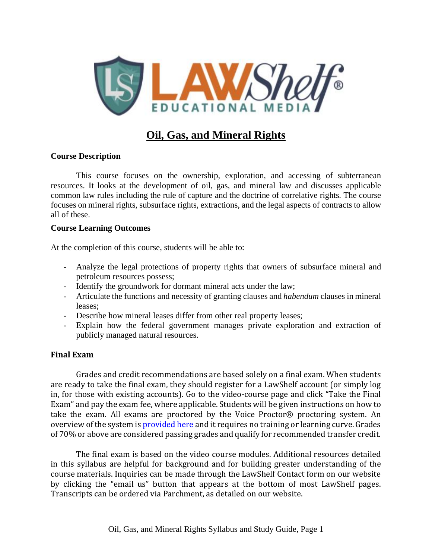

# **Oil, Gas, and Mineral Rights**

### **Course Description**

This course focuses on the ownership, exploration, and accessing of subterranean resources. It looks at the development of oil, gas, and mineral law and discusses applicable common law rules including the rule of capture and the doctrine of correlative rights. The course focuses on mineral rights, subsurface rights, extractions, and the legal aspects of contracts to allow all of these.

### **Course Learning Outcomes**

At the completion of this course, students will be able to:

- Analyze the legal protections of property rights that owners of subsurface mineral and petroleum resources possess;
- Identify the groundwork for dormant mineral acts under the law;
- Articulate the functions and necessity of granting clauses and *habendum* clauses in mineral leases;
- Describe how mineral leases differ from other real property leases;
- Explain how the federal government manages private exploration and extraction of publicly managed natural resources.

## **Final Exam**

Grades and credit recommendations are based solely on a final exam. When students are ready to take the final exam, they should register for a LawShelf account (or simply log in, for those with existing accounts). Go to the video-course page and click "Take the Final Exam" and pay the exam fee, where applicable. Students will be given instructions on how to take the exam. All exams are proctored by the Voice Proctor® proctoring system. An overview of the system is [provided](https://lawshelf.com/voiceproctorvideo) here and it requires no training or learning curve. Grades of 70% or above are considered passing grades and qualify for recommended transfer credit.

The final exam is based on the video course modules. Additional resources detailed in this syllabus are helpful for background and for building greater understanding of the course materials. Inquiries can be made through the LawShelf Contact form on our website by clicking the "email us" button that appears at the bottom of most LawShelf pages. Transcripts can be ordered via Parchment, as detailed on our website.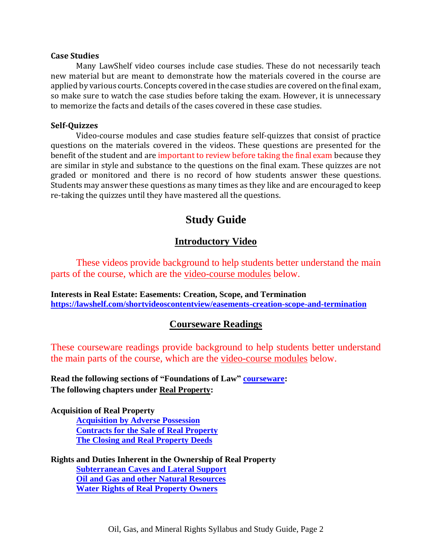#### **Case Studies**

Many LawShelf video courses include case studies. These do not necessarily teach new material but are meant to demonstrate how the materials covered in the course are applied by various courts. Concepts covered in the case studies are covered on the final exam, so make sure to watch the case studies before taking the exam. However, it is unnecessary to memorize the facts and details of the cases covered in these case studies.

#### **Self-Quizzes**

Video-course modules and case studies feature self-quizzes that consist of practice questions on the materials covered in the videos. These questions are presented for the benefit of the student and are important to review before taking the final exam because they are similar in style and substance to the questions on the final exam. These quizzes are not graded or monitored and there is no record of how students answer these questions. Students may answer these questions as many times as they like and are encouraged to keep re-taking the quizzes until they have mastered all the questions.

# **Study Guide**

# **Introductory Video**

These videos provide background to help students better understand the main parts of the course, which are the video-course modules below.

**Interests in Real Estate: Easements: Creation, Scope, and Termination <https://lawshelf.com/shortvideoscontentview/easements-creation-scope-and-termination>**

## **Courseware Readings**

These courseware readings provide background to help students better understand the main parts of the course, which are the video-course modules below.

**Read the following sections of "Foundations of Law" [courseware:](https://lawshelf.com/coursewareview) The following chapters under Real Property:**

**Acquisition of Real Property**

**[Acquisition](https://lawshelf.com/coursewarecontentview/acquisition-by-adverse-possession) by Adverse Possession [Contracts](https://lawshelf.com/coursewarecontentview/contracts-for-the-sale-of-real-property) for the Sale of Real Property The Closing and Real [Property](https://lawshelf.com/coursewarecontentview/the-closing-and-real-property-deeds) Deeds**

**Rights and Duties Inherent in the Ownership of Real Property [Subterranean](https://lawshelf.com/coursewarecontentview/subterranean-caves-and-lateral-support) Caves and Lateral Support Oil and Gas and other Natural [Resources](https://lawshelf.com/coursewarecontentview/oil-and-gas-and-other-natural-resources) Water Rights of Real [Property](https://lawshelf.com/coursewarecontentview/water-rights-of-real-property-owners) Owners**